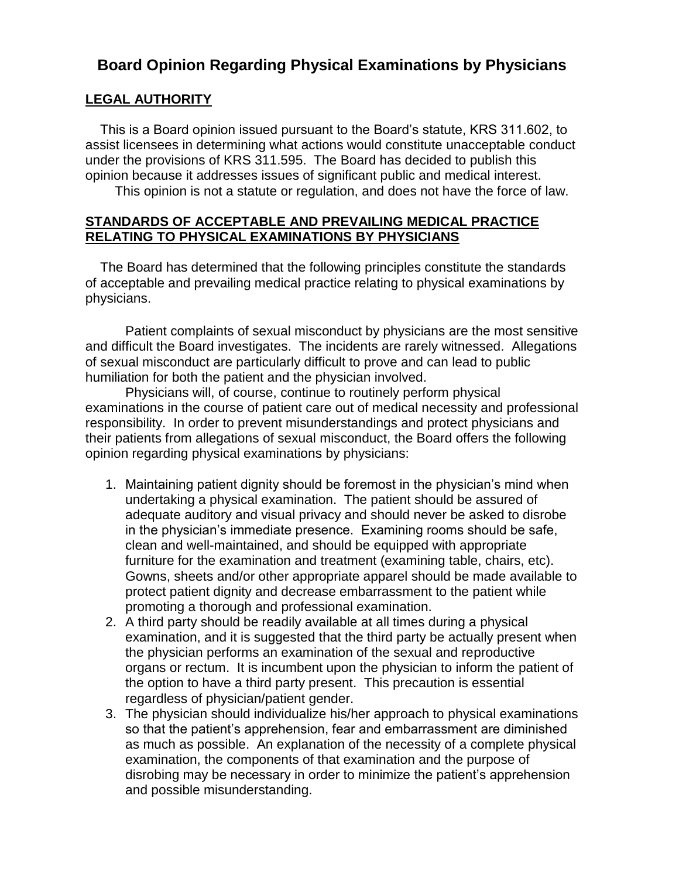## **Board Opinion Regarding Physical Examinations by Physicians**

## **LEGAL AUTHORITY**

 This is a Board opinion issued pursuant to the Board's statute, KRS 311.602, to assist licensees in determining what actions would constitute unacceptable conduct under the provisions of KRS 311.595. The Board has decided to publish this opinion because it addresses issues of significant public and medical interest.

This opinion is not a statute or regulation, and does not have the force of law.

## **STANDARDS OF ACCEPTABLE AND PREVAILING MEDICAL PRACTICE RELATING TO PHYSICAL EXAMINATIONS BY PHYSICIANS**

 The Board has determined that the following principles constitute the standards of acceptable and prevailing medical practice relating to physical examinations by physicians.

Patient complaints of sexual misconduct by physicians are the most sensitive and difficult the Board investigates. The incidents are rarely witnessed. Allegations of sexual misconduct are particularly difficult to prove and can lead to public humiliation for both the patient and the physician involved.

Physicians will, of course, continue to routinely perform physical examinations in the course of patient care out of medical necessity and professional responsibility. In order to prevent misunderstandings and protect physicians and their patients from allegations of sexual misconduct, the Board offers the following opinion regarding physical examinations by physicians:

- 1. Maintaining patient dignity should be foremost in the physician's mind when undertaking a physical examination. The patient should be assured of adequate auditory and visual privacy and should never be asked to disrobe in the physician's immediate presence. Examining rooms should be safe, clean and well-maintained, and should be equipped with appropriate furniture for the examination and treatment (examining table, chairs, etc). Gowns, sheets and/or other appropriate apparel should be made available to protect patient dignity and decrease embarrassment to the patient while promoting a thorough and professional examination.
- 2. A third party should be readily available at all times during a physical examination, and it is suggested that the third party be actually present when the physician performs an examination of the sexual and reproductive organs or rectum. It is incumbent upon the physician to inform the patient of the option to have a third party present. This precaution is essential regardless of physician/patient gender.
- 3. The physician should individualize his/her approach to physical examinations so that the patient's apprehension, fear and embarrassment are diminished as much as possible. An explanation of the necessity of a complete physical examination, the components of that examination and the purpose of disrobing may be necessary in order to minimize the patient's apprehension and possible misunderstanding.